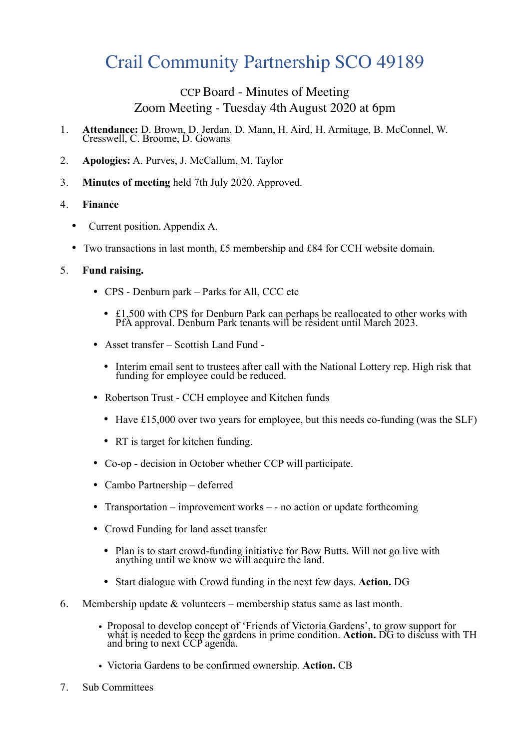# Crail Community Partnership SCO 49189

# CCP Board - Minutes of Meeting Zoom Meeting - Tuesday 4th August 2020 at 6pm

- 1. **Attendance:** D. Brown, D. Jerdan, D. Mann, H. Aird, H. Armitage, B. McConnel, W. Cresswell, C. Broome, D. Gowans
- 2. **Apologies:** A. Purves, J. McCallum, M. Taylor
- 3. **Minutes of meeting** held 7th July 2020. Approved.

## 4. **Finance**

- Current position. Appendix A.
- Two transactions in last month, £5 membership and £84 for CCH website domain.

# 5. **Fund raising.**

- CPS Denburn park Parks for All, CCC etc
	- £1,500 with CPS for Denburn Park can perhaps be reallocated to other works with PfA approval. Denburn Park tenants will be resident until March 2023.
- Asset transfer Scottish Land Fund
	- Interim email sent to trustees after call with the National Lottery rep. High risk that funding for employee could be reduced.
- Robertson Trust CCH employee and Kitchen funds
	- Have £15,000 over two years for employee, but this needs co-funding (was the SLF)
	- RT is target for kitchen funding.
- Co-op decision in October whether CCP will participate.
- Cambo Partnership deferred
- Transportation improvement works - no action or update forthcoming
- Crowd Funding for land asset transfer
	- Plan is to start crowd-funding initiative for Bow Butts. Will not go live with anything until we know we will acquire the land.
	- Start dialogue with Crowd funding in the next few days. **Action.** DG
- 6. Membership update & volunteers membership status same as last month.
	- Proposal to develop concept of 'Friends of Victoria Gardens', to grow support for what is needed to keep the gardens in prime condition. Action. DG to discuss with TH and bring to next CCP agenda.
	- Victoria Gardens to be confirmed ownership. **Action.** CB
- 7. Sub Committees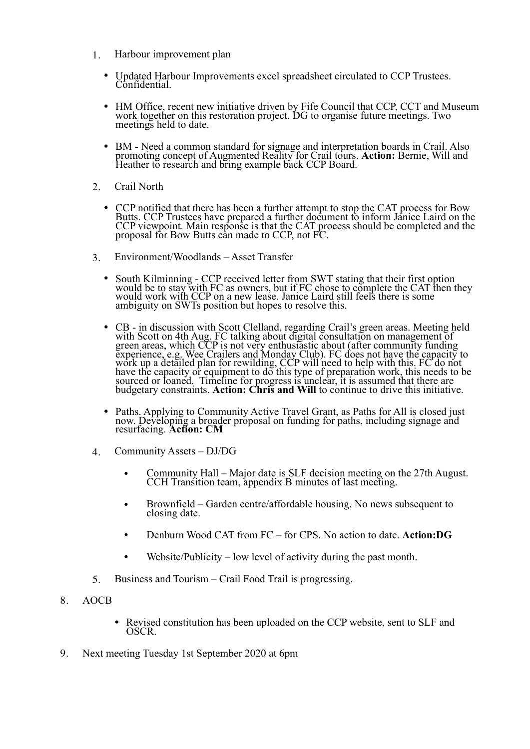- 1. Harbour improvement plan
	- Updated Harbour Improvements excel spreadsheet circulated to CCP Trustees. Confidential.
	- HM Office, recent new initiative driven by Fife Council that CCP, CCT and Museum work together on this restoration project. DG to organise future meetings. Two meetings held to date.
	- BM Need a common standard for signage and interpretation boards in Crail. Also promoting concept of Augmented Reality for Crail tours. **Action:** Bernie, Will and Heather to research and bring example back CCP Board.
- 2. Crail North
	- CCP notified that there has been a further attempt to stop the CAT process for Bow Butts. CCP Trustees have prepared a further document to inform Janice Laird on the CCP viewpoint. Main response is that the CAT process should be completed and the proposal for Bow Butts can made to CCP, not FC.
- 3. Environment/Woodlands Asset Transfer
	- South Kilminning CCP received letter from SWT stating that their first option would be to stay with FC as owners, but if FC chose to complete the CAT then they would work with CCP on a new lease. Janice Laird still feels there is some ambiguity on SWTs position but hopes to resolve this.
	- CB in discussion with Scott Clelland, regarding Crail's green areas. Meeting held with Scott on 4th Aug. FC talking about digital consultation on management of green areas, which CCP is not very enthusiastic about (after community funding experience, e.g. Wee Crailers and Monday Club). FC does not have the capacity to work up a detailed plan for rewilding, CCP will need to help with this. FC do not have the capacity or equipment to do this type of preparation work, this needs to be sourced or loaned. Timeline for progress is unclear, it is assumed that there are budgetary constraints. **Action: Chris and Will** to continue to drive this initiative.
	- Paths. Applying to Community Active Travel Grant, as Paths for All is closed just now. Developing a broader proposal on funding for paths, including signage and resurfacing. **Action: CM**
- 4. Community Assets DJ/DG
	- Community Hall Major date is SLF decision meeting on the 27th August. CCH Transition team, appendix B minutes of last meeting.
	- Brownfield Garden centre/affordable housing. No news subsequent to closing date.
	- Denburn Wood CAT from FC for CPS. No action to date. **Action:DG**
	- Website/Publicity low level of activity during the past month.
- 5. Business and Tourism Crail Food Trail is progressing.
- 8. AOCB
	- Revised constitution has been uploaded on the CCP website, sent to SLF and OSCR.
- 9. Next meeting Tuesday 1st September 2020 at 6pm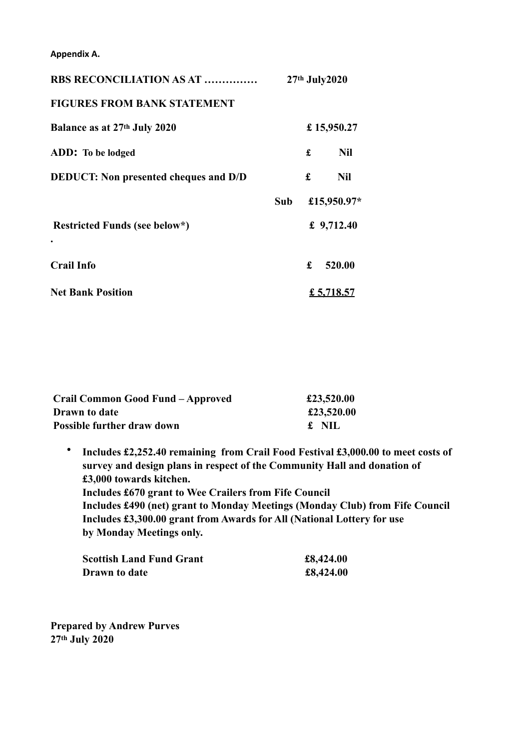**Appendix A.** 

| <b>RBS RECONCILIATION AS AT </b>             | 27th July2020 |   |              |
|----------------------------------------------|---------------|---|--------------|
| <b>FIGURES FROM BANK STATEMENT</b>           |               |   |              |
| Balance as at 27th July 2020                 | £15,950.27    |   |              |
| ADD: To be lodged                            |               | £ | <b>Nil</b>   |
| <b>DEDUCT:</b> Non presented cheques and D/D |               | £ | <b>Nil</b>   |
|                                              | Sub           |   | £15,950.97*  |
| Restricted Funds (see below*)                |               |   | £ $9,712.40$ |
|                                              |               |   |              |
| <b>Crail Info</b>                            |               | £ | 520.00       |
| <b>Net Bank Position</b>                     |               |   | £ 5,718.57   |

| Crail Common Good Fund - Approved | £23,520.00 |
|-----------------------------------|------------|
| Drawn to date                     | £23,520.00 |
| <b>Possible further draw down</b> | £ NIL      |

• **Includes £2,252.40 remaining from Crail Food Festival £3,000.00 to meet costs of survey and design plans in respect of the Community Hall and donation of £3,000 towards kitchen. Includes £670 grant to Wee Crailers from Fife Council Includes £490 (net) grant to Monday Meetings (Monday Club) from Fife Council Includes £3,300.00 grant from Awards for All (National Lottery for use by Monday Meetings only.** 

| <b>Scottish Land Fund Grant</b> | £8,424.00 |
|---------------------------------|-----------|
| <b>Drawn</b> to date            | £8,424.00 |

**Prepared by Andrew Purves 27th July 2020**